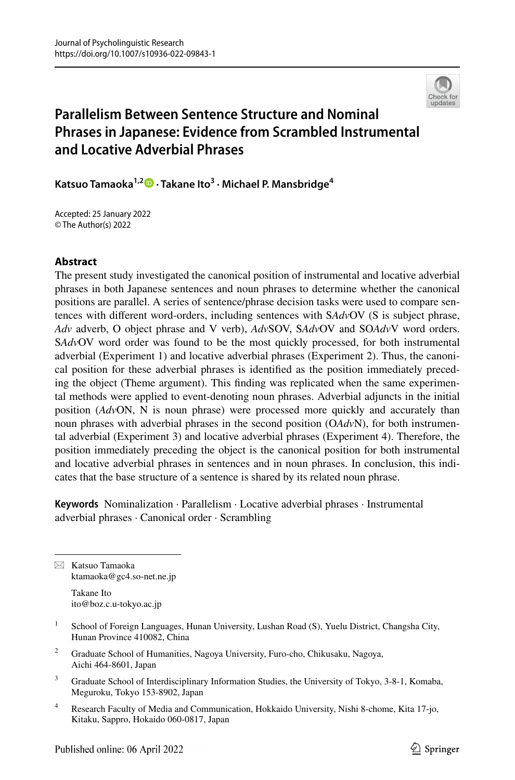

# **Parallelism Between Sentence Structure and Nominal Phrases in Japanese: Evidence from Scrambled Instrumental and Locative Adverbial Phrases**

**Katsuo Tamaoka1,[2](http://orcid.org/0000-0003-1192-0358) · Takane Ito3 · Michael P. Mansbridge4**

Accepted: 25 January 2022 © The Author(s) 2022

#### **Abstract**

The present study investigated the canonical position of instrumental and locative adverbial phrases in both Japanese sentences and noun phrases to determine whether the canonical positions are parallel. A series of sentence/phrase decision tasks were used to compare sentences with diferent word-orders, including sentences with S*Adv*OV (S is subject phrase, *Adv* adverb, O object phrase and V verb), *Adv*SOV, S*Adv*OV and SO*Adv*V word orders. S*Adv*OV word order was found to be the most quickly processed, for both instrumental adverbial (Experiment 1) and locative adverbial phrases (Experiment 2). Thus, the canonical position for these adverbial phrases is identifed as the position immediately preceding the object (Theme argument). This fnding was replicated when the same experimental methods were applied to event-denoting noun phrases. Adverbial adjuncts in the initial position (*Adv*ON, N is noun phrase) were processed more quickly and accurately than noun phrases with adverbial phrases in the second position (O*Adv*N), for both instrumental adverbial (Experiment 3) and locative adverbial phrases (Experiment 4). Therefore, the position immediately preceding the object is the canonical position for both instrumental and locative adverbial phrases in sentences and in noun phrases. In conclusion, this indicates that the base structure of a sentence is shared by its related noun phrase.

**Keywords** Nominalization · Parallelism · Locative adverbial phrases · Instrumental adverbial phrases · Canonical order · Scrambling

 $\boxtimes$  Katsuo Tamaoka ktamaoka@gc4.so-net.ne.jp

> Takane Ito ito@boz.c.u-tokyo.ac.jp

- <sup>1</sup> School of Foreign Languages, Hunan University, Lushan Road (S), Yuelu District, Changsha City, Hunan Province 410082, China
- <sup>2</sup> Graduate School of Humanities, Nagoya University, Furo-cho, Chikusaku, Nagoya, Aichi 464-8601, Japan
- <sup>3</sup> Graduate School of Interdisciplinary Information Studies, the University of Tokyo, 3-8-1, Komaba, Meguroku, Tokyo 153-8902, Japan
- <sup>4</sup> Research Faculty of Media and Communication, Hokkaido University, Nishi 8-chome, Kita 17-jo, Kitaku, Sappro, Hokaido 060-0817, Japan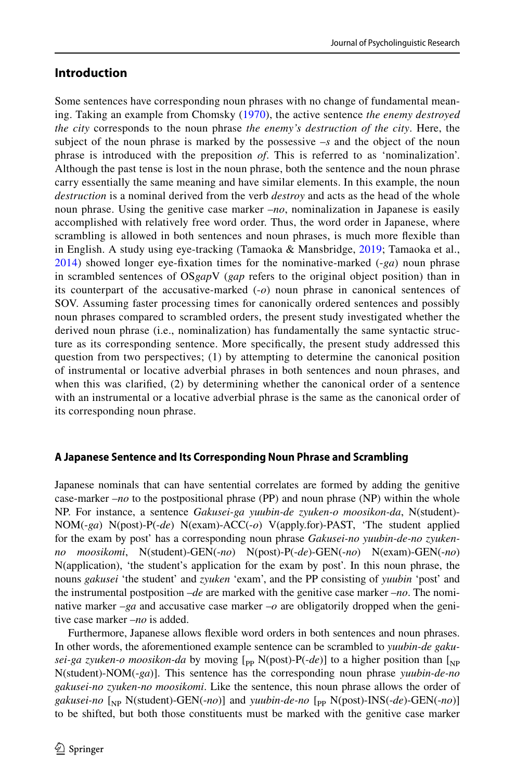### **Introduction**

Some sentences have corresponding noun phrases with no change of fundamental meaning. Taking an example from Chomsky [\(1970\)](#page-17-0), the active sentence *the enemy destroyed the city* corresponds to the noun phrase *the enemy's destruction of the city*. Here, the subject of the noun phrase is marked by the possessive –*s* and the object of the noun phrase is introduced with the preposition *of*. This is referred to as 'nominalization'. Although the past tense is lost in the noun phrase, both the sentence and the noun phrase carry essentially the same meaning and have similar elements. In this example, the noun *destruction* is a nominal derived from the verb *destroy* and acts as the head of the whole noun phrase. Using the genitive case marker –*no*, nominalization in Japanese is easily accomplished with relatively free word order. Thus, the word order in Japanese, where scrambling is allowed in both sentences and noun phrases, is much more fexible than in English. A study using eye-tracking (Tamaoka & Mansbridge, [2019](#page-18-0); Tamaoka et al., [2014](#page-18-1)) showed longer eye-fxation times for the nominative-marked (-*ga*) noun phrase in scrambled sentences of OS*gap*V (*gap* refers to the original object position) than in its counterpart of the accusative-marked (-*o*) noun phrase in canonical sentences of SOV. Assuming faster processing times for canonically ordered sentences and possibly noun phrases compared to scrambled orders, the present study investigated whether the derived noun phrase (i.e., nominalization) has fundamentally the same syntactic structure as its corresponding sentence. More specifcally, the present study addressed this question from two perspectives; (1) by attempting to determine the canonical position of instrumental or locative adverbial phrases in both sentences and noun phrases, and when this was clarifed, (2) by determining whether the canonical order of a sentence with an instrumental or a locative adverbial phrase is the same as the canonical order of its corresponding noun phrase.

### **A Japanese Sentence and Its Corresponding Noun Phrase and Scrambling**

Japanese nominals that can have sentential correlates are formed by adding the genitive case-marker –*no* to the postpositional phrase (PP) and noun phrase (NP) within the whole NP. For instance, a sentence *Gakusei-ga yuubin-de zyuken-o moosikon-da*, N(student)- NOM(-*ga*) N(post)-P(-*de*) N(exam)-ACC(-*o*) V(apply.for)-PAST, 'The student applied for the exam by post' has a corresponding noun phrase *Gakusei-no yuubin-de-no zyukenno moosikomi*, N(student)-GEN(-*no*) N(post)-P(-*de*)-GEN(-*no*) N(exam)-GEN(-*no*) N(application), 'the student's application for the exam by post'. In this noun phrase, the nouns *gakusei* 'the student' and *zyuken* 'exam', and the PP consisting of *yuubin* 'post' and the instrumental postposition –*de* are marked with the genitive case marker –*no*. The nominative marker –*ga* and accusative case marker –*o* are obligatorily dropped when the genitive case marker –*no* is added.

Furthermore, Japanese allows fexible word orders in both sentences and noun phrases. In other words, the aforementioned example sentence can be scrambled to *yuubin-de gakusei-ga zyuken-o moosikon-da* by moving  $[$ <sub>pp</sub> N(post)-P(-*de*)] to a higher position than  $[$ <sub>NP</sub> N(student)-NOM(-*ga*)]. This sentence has the corresponding noun phrase *yuubin-de-no gakusei-no zyuken-no moosikomi*. Like the sentence, this noun phrase allows the order of gakusei-no [<sub>NP</sub> N(student)-GEN(-no)] and *yuubin-de-no* [<sub>PP</sub> N(post)-INS(-de)-GEN(-no)] to be shifted, but both those constituents must be marked with the genitive case marker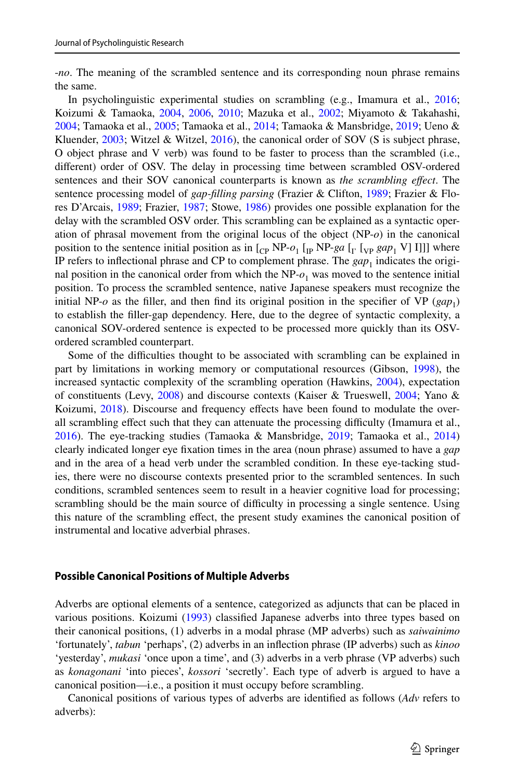-*no*. The meaning of the scrambled sentence and its corresponding noun phrase remains the same.

In psycholinguistic experimental studies on scrambling (e.g., Imamura et al., [2016;](#page-17-1) Koizumi & Tamaoka, [2004,](#page-17-2) [2006](#page-18-2), [2010](#page-18-3); Mazuka et al., [2002;](#page-18-4) Miyamoto & Takahashi, [2004;](#page-18-5) Tamaoka et al., [2005;](#page-18-6) Tamaoka et al., [2014](#page-18-1); Tamaoka & Mansbridge, [2019](#page-18-0); Ueno & Kluender,  $2003$ ; Witzel & Witzel,  $2016$ ), the canonical order of SOV (S is subject phrase, O object phrase and V verb) was found to be faster to process than the scrambled (i.e., diferent) order of OSV. The delay in processing time between scrambled OSV-ordered sentences and their SOV canonical counterparts is known as *the scrambling efect*. The sentence processing model of *gap-flling parsing* (Frazier & Clifton, [1989](#page-17-3); Frazier & Flores D'Arcais, [1989;](#page-17-4) Frazier, [1987](#page-17-5); Stowe, [1986](#page-18-9)) provides one possible explanation for the delay with the scrambled OSV order. This scrambling can be explained as a syntactic operation of phrasal movement from the original locus of the object (NP-*o*) in the canonical position to the sentence initial position as in  $\begin{bmatrix} C_P \ NP - o_1 \ I_P \ NP - ga \ I_V \end{bmatrix}$  [<sub>VP</sub>  $gap_1$  V] I]]] where IP refers to inflectional phrase and CP to complement phrase. The  $gap_1$  indicates the original position in the canonical order from which the  $NP<sub>o<sub>1</sub></sub>$  was moved to the sentence initial position. To process the scrambled sentence, native Japanese speakers must recognize the initial NP- $o$  as the filler, and then find its original position in the specifier of VP ( $gap_1$ ) to establish the fller-gap dependency. Here, due to the degree of syntactic complexity, a canonical SOV-ordered sentence is expected to be processed more quickly than its OSVordered scrambled counterpart.

Some of the difculties thought to be associated with scrambling can be explained in part by limitations in working memory or computational resources (Gibson, [1998](#page-17-6)), the increased syntactic complexity of the scrambling operation (Hawkins, [2004](#page-17-7)), expectation of constituents (Levy, [2008\)](#page-18-10) and discourse contexts (Kaiser & Trueswell, [2004;](#page-17-8) Yano & Koizumi, [2018\)](#page-18-11). Discourse and frequency efects have been found to modulate the overall scrambling effect such that they can attenuate the processing difficulty (Imamura et al., [2016\)](#page-17-1). The eye-tracking studies (Tamaoka & Mansbridge, [2019;](#page-18-0) Tamaoka et al., [2014](#page-18-1)) clearly indicated longer eye fxation times in the area (noun phrase) assumed to have a *gap* and in the area of a head verb under the scrambled condition. In these eye-tacking studies, there were no discourse contexts presented prior to the scrambled sentences. In such conditions, scrambled sentences seem to result in a heavier cognitive load for processing; scrambling should be the main source of difficulty in processing a single sentence. Using this nature of the scrambling efect, the present study examines the canonical position of instrumental and locative adverbial phrases.

#### **Possible Canonical Positions of Multiple Adverbs**

Adverbs are optional elements of a sentence, categorized as adjuncts that can be placed in various positions. Koizumi [\(1993](#page-17-9)) classifed Japanese adverbs into three types based on their canonical positions, (1) adverbs in a modal phrase (MP adverbs) such as *saiwainimo* 'fortunately', *tabun* 'perhaps', (2) adverbs in an infection phrase (IP adverbs) such as *kinoo* 'yesterday', *mukasi* 'once upon a time', and (3) adverbs in a verb phrase (VP adverbs) such as *konagonani* 'into pieces', *kossori* 'secretly'. Each type of adverb is argued to have a canonical position—i.e., a position it must occupy before scrambling.

Canonical positions of various types of adverbs are identifed as follows (*Adv* refers to adverbs):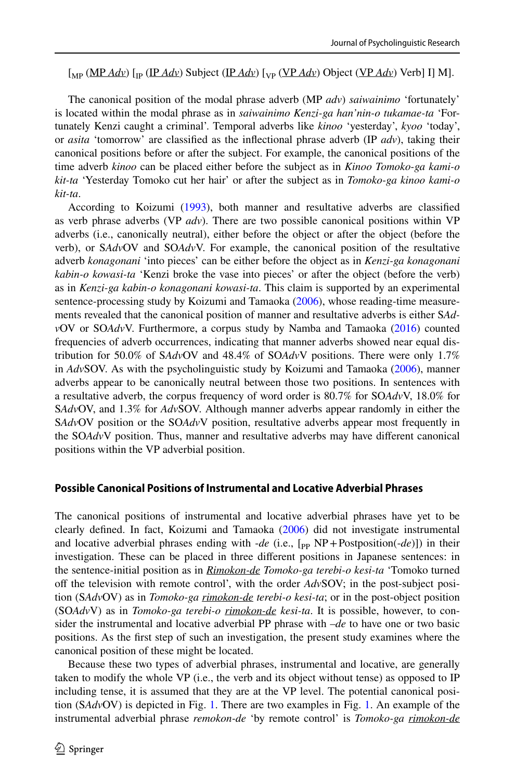[<sub>MP</sub> (MP *Adv*) [<sub>IP</sub> (IP *Adv*) Subject (IP *Adv*) [<sub>VP</sub> (VP *Adv*) Object (VP *Adv*) Verb] I] M].

The canonical position of the modal phrase adverb (MP *adv*) *saiwainimo* 'fortunately' is located within the modal phrase as in *saiwainimo Kenzi-ga han'nin-o tukamae-ta* 'Fortunately Kenzi caught a criminal'. Temporal adverbs like *kinoo* 'yesterday', *kyoo* 'today', or *asita* 'tomorrow' are classifed as the infectional phrase adverb (IP *adv*), taking their canonical positions before or after the subject. For example, the canonical positions of the time adverb *kinoo* can be placed either before the subject as in *Kinoo Tomoko-ga kami-o kit-ta* 'Yesterday Tomoko cut her hair' or after the subject as in *Tomoko-ga kinoo kami-o kit-ta*.

According to Koizumi [\(1993](#page-17-9)), both manner and resultative adverbs are classifed as verb phrase adverbs (VP *adv*). There are two possible canonical positions within VP adverbs (i.e., canonically neutral), either before the object or after the object (before the verb), or S*Adv*OV and SO*Adv*V. For example, the canonical position of the resultative adverb *konagonani* 'into pieces' can be either before the object as in *Kenzi-ga konagonani kabin-o kowasi-ta* 'Kenzi broke the vase into pieces' or after the object (before the verb) as in *Kenzi-ga kabin-o konagonani kowasi-ta*. This claim is supported by an experimental sentence-processing study by Koizumi and Tamaoka ([2006\)](#page-18-2), whose reading-time measurements revealed that the canonical position of manner and resultative adverbs is either S*Adv*OV or SO*Adv*V. Furthermore, a corpus study by Namba and Tamaoka ([2016\)](#page-18-12) counted frequencies of adverb occurrences, indicating that manner adverbs showed near equal distribution for 50.0% of S*Adv*OV and 48.4% of SO*Adv*V positions. There were only 1.7% in *Adv*SOV. As with the psycholinguistic study by Koizumi and Tamaoka ([2006\)](#page-18-2), manner adverbs appear to be canonically neutral between those two positions. In sentences with a resultative adverb, the corpus frequency of word order is 80.7% for SO*Adv*V, 18.0% for S*Adv*OV, and 1.3% for *Adv*SOV. Although manner adverbs appear randomly in either the S*Adv*OV position or the SO*Adv*V position, resultative adverbs appear most frequently in the SO*Adv*V position. Thus, manner and resultative adverbs may have diferent canonical positions within the VP adverbial position.

#### **Possible Canonical Positions of Instrumental and Locative Adverbial Phrases**

The canonical positions of instrumental and locative adverbial phrases have yet to be clearly defned. In fact, Koizumi and Tamaoka [\(2006](#page-18-2)) did not investigate instrumental and locative adverbial phrases ending with -*de* (i.e., [<sub>PP</sub> NP+Postposition(-*de*)]) in their investigation. These can be placed in three diferent positions in Japanese sentences: in the sentence-initial position as in *Rimokon-de Tomoko-ga terebi-o kesi-ta* 'Tomoko turned of the television with remote control', with the order *Adv*SOV; in the post-subject position (S*Adv*OV) as in *Tomoko-ga rimokon-de terebi-o kesi-ta*; or in the post-object position (SO*Adv*V) as in *Tomoko-ga terebi-o rimokon-de kesi-ta*. It is possible, however, to consider the instrumental and locative adverbial PP phrase with –*de* to have one or two basic positions. As the frst step of such an investigation, the present study examines where the canonical position of these might be located.

Because these two types of adverbial phrases, instrumental and locative, are generally taken to modify the whole VP (i.e., the verb and its object without tense) as opposed to IP including tense, it is assumed that they are at the VP level. The potential canonical position (S*Adv*OV) is depicted in Fig. [1.](#page-4-0) There are two examples in Fig. [1](#page-4-0). An example of the instrumental adverbial phrase *remokon-de* 'by remote control' is *Tomoko-ga rimokon-de*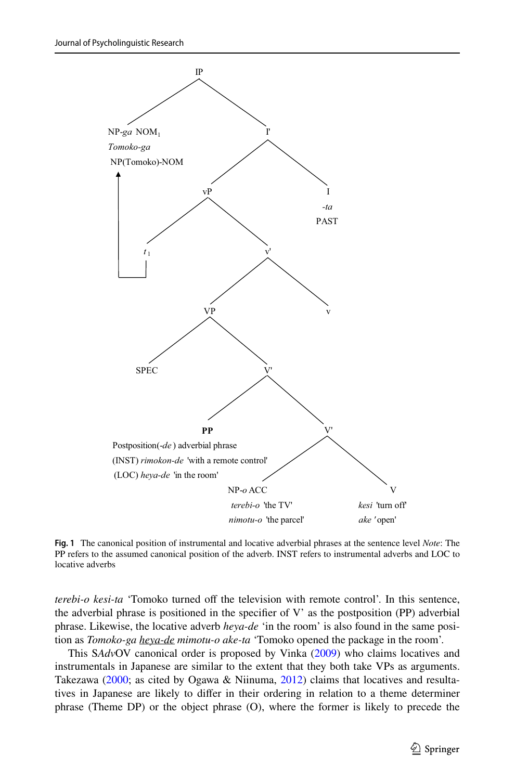

<span id="page-4-0"></span>**Fig. 1** The canonical position of instrumental and locative adverbial phrases at the sentence level *Note*: The PP refers to the assumed canonical position of the adverb. INST refers to instrumental adverbs and LOC to locative adverbs

*terebi-o kesi-ta* 'Tomoko turned off the television with remote control'. In this sentence, the adverbial phrase is positioned in the specifier of  $V'$  as the postposition (PP) adverbial phrase. Likewise, the locative adverb *heya-de* 'in the room' is also found in the same position as *Tomoko-ga heya-de mimotu-o ake-ta* 'Tomoko opened the package in the room'.

This S*Adv*OV canonical order is proposed by Vinka ([2009\)](#page-18-13) who claims locatives and instrumentals in Japanese are similar to the extent that they both take VPs as arguments. Takezawa ([2000;](#page-18-14) as cited by Ogawa & Niinuma, [2012\)](#page-18-15) claims that locatives and resultatives in Japanese are likely to difer in their ordering in relation to a theme determiner phrase (Theme DP) or the object phrase (O), where the former is likely to precede the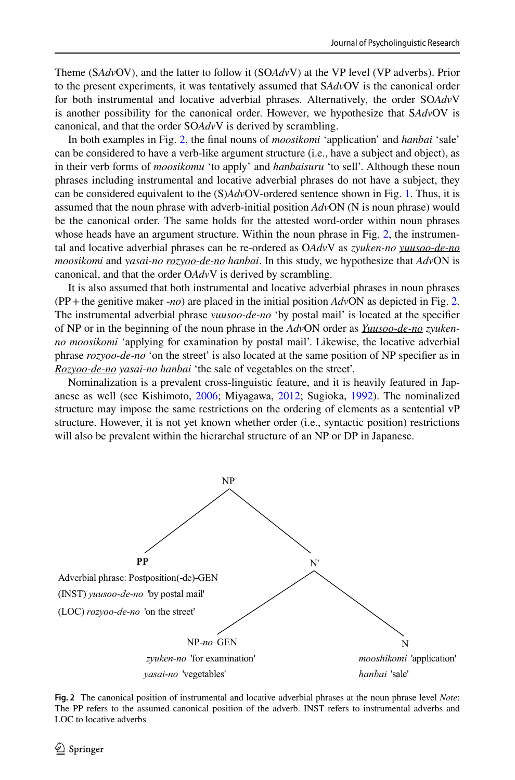Theme (S*Adv*OV), and the latter to follow it (SO*Adv*V) at the VP level (VP adverbs). Prior to the present experiments, it was tentatively assumed that S*Adv*OV is the canonical order for both instrumental and locative adverbial phrases. Alternatively, the order SO*Adv*V is another possibility for the canonical order. However, we hypothesize that S*Adv*OV is canonical, and that the order SO*Adv*V is derived by scrambling.

In both examples in Fig. [2](#page-5-0), the fnal nouns of *moosikomi* 'application' and *hanbai* 'sale' can be considered to have a verb-like argument structure (i.e., have a subject and object), as in their verb forms of *moosikomu* 'to apply' and *hanbaisuru* 'to sell'. Although these noun phrases including instrumental and locative adverbial phrases do not have a subject, they can be considered equivalent to the (S)*Adv*OV-ordered sentence shown in Fig. [1](#page-4-0). Thus, it is assumed that the noun phrase with adverb-initial position *Adv*ON (N is noun phrase) would be the canonical order. The same holds for the attested word-order within noun phrases whose heads have an argument structure. Within the noun phrase in Fig. [2,](#page-5-0) the instrumental and locative adverbial phrases can be re-ordered as O*Adv*V as *zyuken-no yuusoo-de-no moosikomi* and *yasai-no rozyoo-de-no hanbai*. In this study, we hypothesize that *Adv*ON is canonical, and that the order O*Adv*V is derived by scrambling.

It is also assumed that both instrumental and locative adverbial phrases in noun phrases (PP+the genitive maker -*no*) are placed in the initial position *Adv*ON as depicted in Fig. [2](#page-5-0). The instrumental adverbial phrase *yuusoo-de-no* 'by postal mail' is located at the specifer of NP or in the beginning of the noun phrase in the *Adv*ON order as *Yuusoo-de-no zyukenno moosikomi* 'applying for examination by postal mail'. Likewise, the locative adverbial phrase *rozyoo-de-no* 'on the street' is also located at the same position of NP specifer as in *Rozyoo-de-no yasai-no hanbai* 'the sale of vegetables on the street'.

Nominalization is a prevalent cross-linguistic feature, and it is heavily featured in Japanese as well (see Kishimoto, [2006](#page-17-10); Miyagawa, [2012](#page-18-16); Sugioka, [1992](#page-18-17)). The nominalized structure may impose the same restrictions on the ordering of elements as a sentential vP structure. However, it is not yet known whether order (i.e., syntactic position) restrictions will also be prevalent within the hierarchal structure of an NP or DP in Japanese.



<span id="page-5-0"></span>**Fig. 2** The canonical position of instrumental and locative adverbial phrases at the noun phrase level *Note*: The PP refers to the assumed canonical position of the adverb. INST refers to instrumental adverbs and LOC to locative adverbs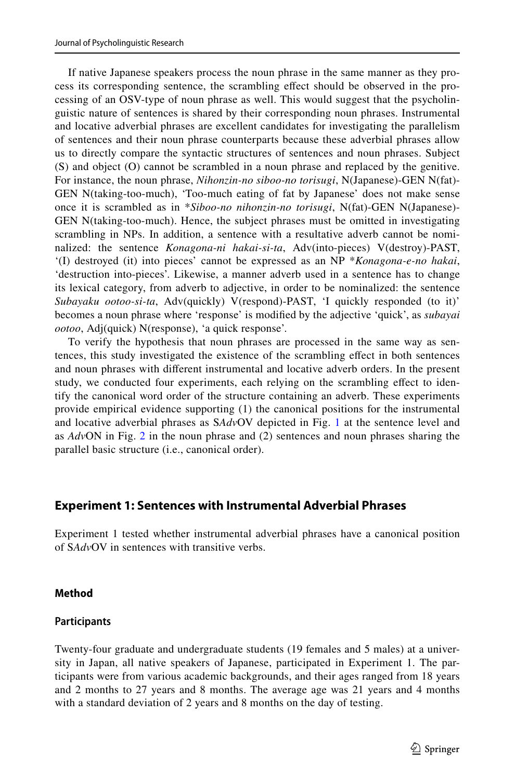If native Japanese speakers process the noun phrase in the same manner as they process its corresponding sentence, the scrambling efect should be observed in the processing of an OSV-type of noun phrase as well. This would suggest that the psycholinguistic nature of sentences is shared by their corresponding noun phrases. Instrumental and locative adverbial phrases are excellent candidates for investigating the parallelism of sentences and their noun phrase counterparts because these adverbial phrases allow us to directly compare the syntactic structures of sentences and noun phrases. Subject (S) and object (O) cannot be scrambled in a noun phrase and replaced by the genitive. For instance, the noun phrase, *Nihonzin-no siboo-no torisugi*, N(Japanese)-GEN N(fat)- GEN N(taking-too-much), 'Too-much eating of fat by Japanese' does not make sense once it is scrambled as in \**Siboo-no nihonzin-no torisugi*, N(fat)-GEN N(Japanese)- GEN N(taking-too-much). Hence, the subject phrases must be omitted in investigating scrambling in NPs. In addition, a sentence with a resultative adverb cannot be nominalized: the sentence *Konagona-ni hakai-si-ta*, Adv(into-pieces) V(destroy)-PAST, '(I) destroyed (it) into pieces' cannot be expressed as an NP \**Konagona-e-no hakai*, 'destruction into-pieces'. Likewise, a manner adverb used in a sentence has to change its lexical category, from adverb to adjective, in order to be nominalized: the sentence *Subayaku ootoo-si-ta*, Adv(quickly) V(respond)-PAST, 'I quickly responded (to it)' becomes a noun phrase where 'response' is modifed by the adjective 'quick', as *subayai ootoo*, Adj(quick) N(response), 'a quick response'.

To verify the hypothesis that noun phrases are processed in the same way as sentences, this study investigated the existence of the scrambling efect in both sentences and noun phrases with diferent instrumental and locative adverb orders. In the present study, we conducted four experiments, each relying on the scrambling efect to identify the canonical word order of the structure containing an adverb. These experiments provide empirical evidence supporting (1) the canonical positions for the instrumental and locative adverbial phrases as S*Adv*OV depicted in Fig. [1](#page-4-0) at the sentence level and as *Adv*ON in Fig. [2](#page-5-0) in the noun phrase and (2) sentences and noun phrases sharing the parallel basic structure (i.e., canonical order).

## **Experiment 1: Sentences with Instrumental Adverbial Phrases**

Experiment 1 tested whether instrumental adverbial phrases have a canonical position of S*Adv*OV in sentences with transitive verbs.

#### **Method**

#### **Participants**

Twenty-four graduate and undergraduate students (19 females and 5 males) at a university in Japan, all native speakers of Japanese, participated in Experiment 1. The participants were from various academic backgrounds, and their ages ranged from 18 years and 2 months to 27 years and 8 months. The average age was 21 years and 4 months with a standard deviation of 2 years and 8 months on the day of testing.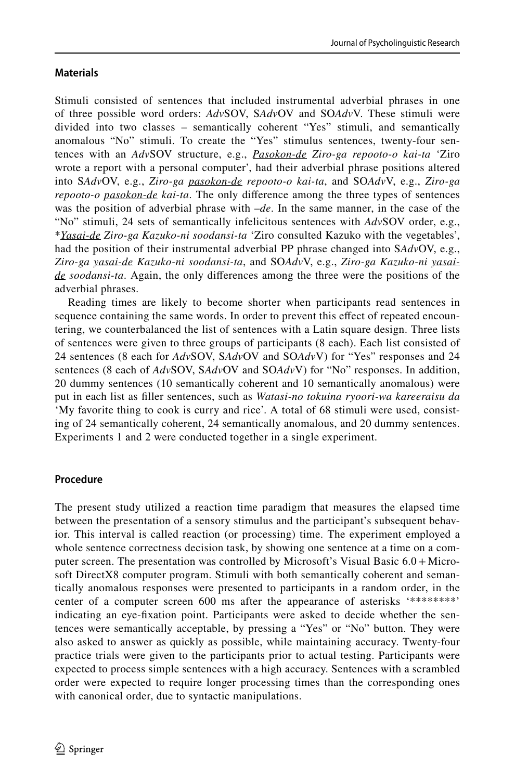#### **Materials**

Stimuli consisted of sentences that included instrumental adverbial phrases in one of three possible word orders: *Adv*SOV, S*Adv*OV and SO*Adv*V. These stimuli were divided into two classes – semantically coherent "Yes" stimuli, and semantically anomalous "No" stimuli. To create the "Yes" stimulus sentences, twenty-four sentences with an *Adv*SOV structure, e.g., *Pasokon-de Ziro-ga repooto-o kai-ta* 'Ziro wrote a report with a personal computer', had their adverbial phrase positions altered into S*Adv*OV, e.g., *Ziro-ga pasokon-de repooto-o kai-ta*, and SO*Adv*V, e.g., *Ziro-ga repooto-o pasokon-de kai-ta*. The only diference among the three types of sentences was the position of adverbial phrase with –*de*. In the same manner, in the case of the "No" stimuli, 24 sets of semantically infelicitous sentences with *Adv*SOV order, e.g., \**Yasai-de Ziro-ga Kazuko-ni soodansi-ta* 'Ziro consulted Kazuko with the vegetables', had the position of their instrumental adverbial PP phrase changed into S*Adv*OV, e.g., *Ziro-ga yasai-de Kazuko-ni soodansi-ta*, and SO*Adv*V, e.g., *Ziro-ga Kazuko-ni yasaide soodansi-ta*. Again, the only diferences among the three were the positions of the adverbial phrases.

Reading times are likely to become shorter when participants read sentences in sequence containing the same words. In order to prevent this efect of repeated encountering, we counterbalanced the list of sentences with a Latin square design. Three lists of sentences were given to three groups of participants (8 each). Each list consisted of 24 sentences (8 each for *Adv*SOV, S*Adv*OV and SO*Adv*V) for "Yes" responses and 24 sentences (8 each of *Adv*SOV, S*Adv*OV and SO*Adv*V) for "No" responses. In addition, 20 dummy sentences (10 semantically coherent and 10 semantically anomalous) were put in each list as fller sentences, such as *Watasi-no tokuina ryoori-wa kareeraisu da* 'My favorite thing to cook is curry and rice'. A total of 68 stimuli were used, consisting of 24 semantically coherent, 24 semantically anomalous, and 20 dummy sentences. Experiments 1 and 2 were conducted together in a single experiment.

#### **Procedure**

The present study utilized a reaction time paradigm that measures the elapsed time between the presentation of a sensory stimulus and the participant's subsequent behavior. This interval is called reaction (or processing) time. The experiment employed a whole sentence correctness decision task, by showing one sentence at a time on a computer screen. The presentation was controlled by Microsoft's Visual Basic 6.0+ Microsoft DirectX8 computer program. Stimuli with both semantically coherent and semantically anomalous responses were presented to participants in a random order, in the center of a computer screen 600 ms after the appearance of asterisks '\*\*\*\*\*\*\*\*' indicating an eye-fxation point. Participants were asked to decide whether the sentences were semantically acceptable, by pressing a "Yes" or "No" button. They were also asked to answer as quickly as possible, while maintaining accuracy. Twenty-four practice trials were given to the participants prior to actual testing. Participants were expected to process simple sentences with a high accuracy. Sentences with a scrambled order were expected to require longer processing times than the corresponding ones with canonical order, due to syntactic manipulations.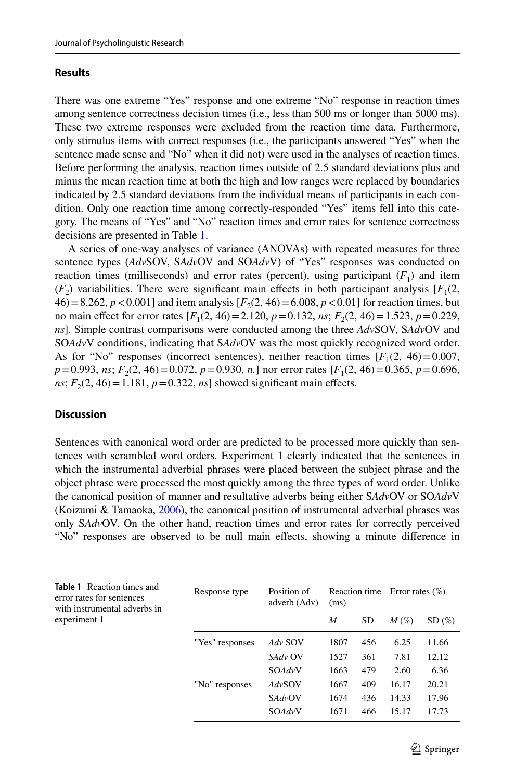#### **Results**

There was one extreme "Yes" response and one extreme "No" response in reaction times among sentence correctness decision times (i.e., less than 500 ms or longer than 5000 ms). These two extreme responses were excluded from the reaction time data. Furthermore, only stimulus items with correct responses (i.e., the participants answered "Yes" when the sentence made sense and "No" when it did not) were used in the analyses of reaction times. Before performing the analysis, reaction times outside of 2.5 standard deviations plus and minus the mean reaction time at both the high and low ranges were replaced by boundaries indicated by 2.5 standard deviations from the individual means of participants in each condition. Only one reaction time among correctly-responded "Yes" items fell into this category. The means of "Yes" and "No" reaction times and error rates for sentence correctness decisions are presented in Table [1](#page-8-0).

A series of one-way analyses of variance (ANOVAs) with repeated measures for three sentence types (*Adv*SOV, S*Adv*OV and SO*Adv*V) of "Yes" responses was conducted on reaction times (milliseconds) and error rates (percent), using participant  $(F_1)$  and item  $(F_2)$  variabilities. There were significant main effects in both participant analysis  $[F_1(2,$  $46$ ) = 8.262, *p* < 0.001] and item analysis  $[F_2(2, 46) = 6.008, p < 0.01]$  for reaction times, but no main effect for error rates  $[F_1(2, 46) = 2.120, p = 0.132, ns; F_2(2, 46) = 1.523, p = 0.229,$ *ns*]. Simple contrast comparisons were conducted among the three *Adv*SOV, S*Adv*OV and SO*Adv*V conditions, indicating that S*Adv*OV was the most quickly recognized word order. As for "No" responses (incorrect sentences), neither reaction times  $[F_1(2, 46) = 0.007$ , *p*=0.993, *ns*; *F*<sub>2</sub>(2, 46)=0.072, *p*=0.930, *n*.] nor error rates [*F*<sub>1</sub>(2, 46)=0.365, *p*=0.696, *ns*;  $F_2(2, 46) = 1.181$ ,  $p = 0.322$ , *ns*] showed significant main effects.

#### **Discussion**

Sentences with canonical word order are predicted to be processed more quickly than sentences with scrambled word orders. Experiment 1 clearly indicated that the sentences in which the instrumental adverbial phrases were placed between the subject phrase and the object phrase were processed the most quickly among the three types of word order. Unlike the canonical position of manner and resultative adverbs being either S*Adv*OV or SO*Adv*V (Koizumi & Tamaoka,  $2006$ ), the canonical position of instrumental adverbial phrases was only S*Adv*OV. On the other hand, reaction times and error rates for correctly perceived "No" responses are observed to be null main efects, showing a minute diference in

<span id="page-8-0"></span>

| <b>Table 1</b> Reaction times and<br>error rates for sentences<br>with instrumental adverbs in | Response type   | Position of<br>adverb (Adv) | (ms) |           | Reaction time Error rates $(\%)$ |       |
|------------------------------------------------------------------------------------------------|-----------------|-----------------------------|------|-----------|----------------------------------|-------|
|                                                                                                |                 |                             |      |           |                                  |       |
|                                                                                                |                 |                             | M    | <b>SD</b> | $M(\%)$                          | SD(%) |
| experiment 1                                                                                   | "Yes" responses | Adv SOV                     | 1807 | 456       | 6.25                             | 11.66 |
|                                                                                                |                 | SAdv OV                     | 1527 | 361       | 7.81                             | 12.12 |
|                                                                                                |                 | SOAdvV                      | 1663 | 479       | 2.60                             | 6.36  |
|                                                                                                | "No" responses  | AdvSOV                      | 1667 | 409       | 16.17                            | 20.21 |
|                                                                                                |                 | SAdvOV                      | 1674 | 436       | 14.33                            | 17.96 |
|                                                                                                |                 | SOAdvV                      | 1671 | 466       | 15.17                            | 17.73 |
|                                                                                                |                 |                             |      |           |                                  |       |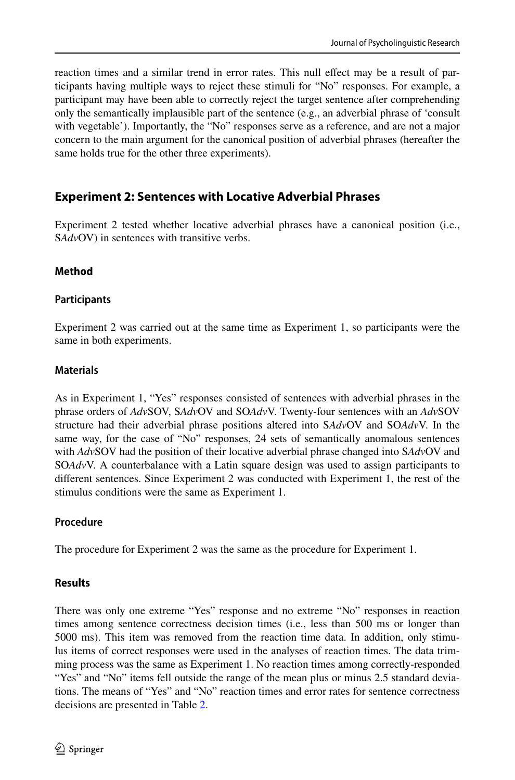reaction times and a similar trend in error rates. This null efect may be a result of participants having multiple ways to reject these stimuli for "No" responses. For example, a participant may have been able to correctly reject the target sentence after comprehending only the semantically implausible part of the sentence (e.g., an adverbial phrase of 'consult with vegetable'). Importantly, the "No" responses serve as a reference, and are not a major concern to the main argument for the canonical position of adverbial phrases (hereafter the same holds true for the other three experiments).

## **Experiment 2: Sentences with Locative Adverbial Phrases**

Experiment 2 tested whether locative adverbial phrases have a canonical position (i.e., S*Adv*OV) in sentences with transitive verbs.

### **Method**

### **Participants**

Experiment 2 was carried out at the same time as Experiment 1, so participants were the same in both experiments.

#### **Materials**

As in Experiment 1, "Yes" responses consisted of sentences with adverbial phrases in the phrase orders of *Adv*SOV, S*Adv*OV and SO*Adv*V. Twenty-four sentences with an *Adv*SOV structure had their adverbial phrase positions altered into S*Adv*OV and SO*Adv*V. In the same way, for the case of "No" responses, 24 sets of semantically anomalous sentences with *Adv*SOV had the position of their locative adverbial phrase changed into S*Adv*OV and SO*Adv*V. A counterbalance with a Latin square design was used to assign participants to diferent sentences. Since Experiment 2 was conducted with Experiment 1, the rest of the stimulus conditions were the same as Experiment 1.

### **Procedure**

The procedure for Experiment 2 was the same as the procedure for Experiment 1.

### **Results**

There was only one extreme "Yes" response and no extreme "No" responses in reaction times among sentence correctness decision times (i.e., less than 500 ms or longer than 5000 ms). This item was removed from the reaction time data. In addition, only stimulus items of correct responses were used in the analyses of reaction times. The data trimming process was the same as Experiment 1. No reaction times among correctly-responded "Yes" and "No" items fell outside the range of the mean plus or minus 2.5 standard deviations. The means of "Yes" and "No" reaction times and error rates for sentence correctness decisions are presented in Table [2](#page-10-0).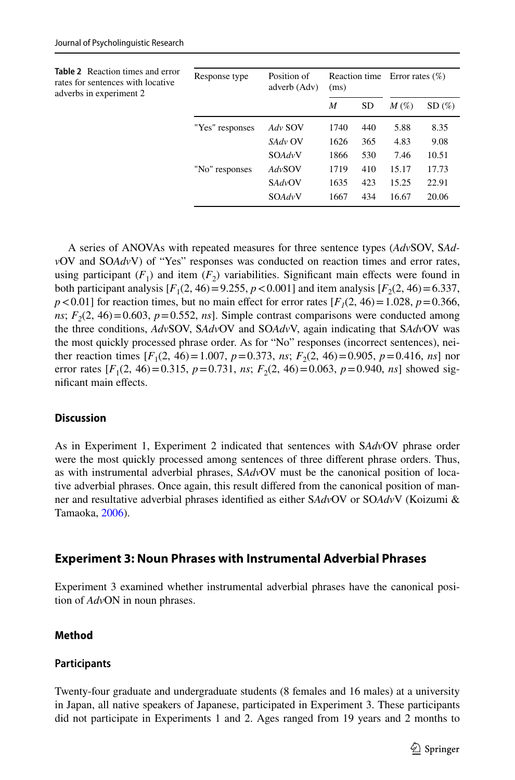<span id="page-10-0"></span>

| <b>Table 2</b> Reaction times and error<br>rates for sentences with locative<br>adverbs in experiment 2 | Response type   | Position of<br>adverb (Adv) | (ms) |           | Reaction time Error rates $(\%)$ |       |
|---------------------------------------------------------------------------------------------------------|-----------------|-----------------------------|------|-----------|----------------------------------|-------|
|                                                                                                         |                 |                             | M    | <b>SD</b> | $M(\%)$                          | SD(%) |
|                                                                                                         | "Yes" responses | Adv SOV                     | 1740 | 440       | 5.88                             | 8.35  |
|                                                                                                         |                 | SAdv OV                     | 1626 | 365       | 4.83                             | 9.08  |
|                                                                                                         |                 | SOAdvV                      | 1866 | 530       | 7.46                             | 10.51 |
|                                                                                                         | "No" responses  | AdvSOV                      | 1719 | 410       | 15.17                            | 17.73 |
|                                                                                                         |                 | SAdvOV                      | 1635 | 423       | 15.25                            | 22.91 |
|                                                                                                         |                 | SOAdvV                      | 1667 | 434       | 16.67                            | 20.06 |

A series of ANOVAs with repeated measures for three sentence types (*Adv*SOV, S*Adv*OV and SO*Adv*V) of "Yes" responses was conducted on reaction times and error rates, using participant  $(F_1)$  and item  $(F_2)$  variabilities. Significant main effects were found in both participant analysis  $[F_1(2, 46) = 9.255, p < 0.001]$  and item analysis  $[F_2(2, 46) = 6.337,$  $p < 0.01$  for reaction times, but no main effect for error rates  $[F_1(2, 46) = 1.028$ ,  $p = 0.366$ , *ns*;  $F<sub>2</sub>(2, 46) = 0.603$ ,  $p = 0.552$ , *ns*]. Simple contrast comparisons were conducted among the three conditions, *Adv*SOV, S*Adv*OV and SO*Adv*V, again indicating that S*Adv*OV was the most quickly processed phrase order. As for "No" responses (incorrect sentences), neither reaction times  $[F_1(2, 46) = 1.007, p = 0.373, ns; F_2(2, 46) = 0.905, p = 0.416, ns]$  nor error rates  $[F_1(2, 46) = 0.315, p = 0.731, ns; F_2(2, 46) = 0.063, p = 0.940, ns]$  showed signifcant main efects.

#### **Discussion**

As in Experiment 1, Experiment 2 indicated that sentences with S*Adv*OV phrase order were the most quickly processed among sentences of three diferent phrase orders. Thus, as with instrumental adverbial phrases, S*Adv*OV must be the canonical position of locative adverbial phrases. Once again, this result difered from the canonical position of manner and resultative adverbial phrases identifed as either S*Adv*OV or SO*Adv*V (Koizumi & Tamaoka, [2006\)](#page-18-2).

#### **Experiment 3: Noun Phrases with Instrumental Adverbial Phrases**

Experiment 3 examined whether instrumental adverbial phrases have the canonical position of *Adv*ON in noun phrases.

#### **Method**

#### **Participants**

Twenty-four graduate and undergraduate students (8 females and 16 males) at a university in Japan, all native speakers of Japanese, participated in Experiment 3. These participants did not participate in Experiments 1 and 2. Ages ranged from 19 years and 2 months to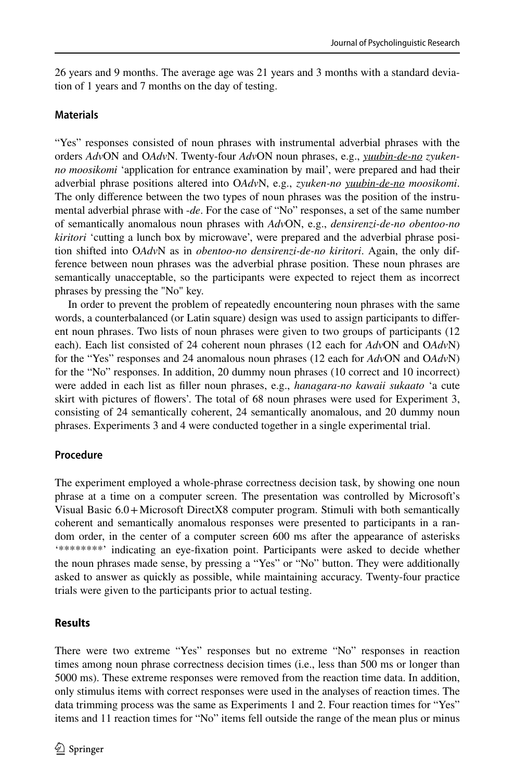26 years and 9 months. The average age was 21 years and 3 months with a standard deviation of 1 years and 7 months on the day of testing.

#### **Materials**

"Yes" responses consisted of noun phrases with instrumental adverbial phrases with the orders *Adv*ON and O*Adv*N. Twenty-four *Adv*ON noun phrases, e.g., *yuubin-de-no zyukenno moosikomi* 'application for entrance examination by mail', were prepared and had their adverbial phrase positions altered into O*Adv*N, e.g., *zyuken-no yuubin-de-no moosikomi*. The only diference between the two types of noun phrases was the position of the instrumental adverbial phrase with -*de*. For the case of "No" responses, a set of the same number of semantically anomalous noun phrases with *Adv*ON, e.g., *densirenzi-de-no obentoo-no kiritori* 'cutting a lunch box by microwave', were prepared and the adverbial phrase position shifted into O*Adv*N as in *obentoo-no densirenzi-de-no kiritori*. Again, the only difference between noun phrases was the adverbial phrase position. These noun phrases are semantically unacceptable, so the participants were expected to reject them as incorrect phrases by pressing the "No" key.

In order to prevent the problem of repeatedly encountering noun phrases with the same words, a counterbalanced (or Latin square) design was used to assign participants to diferent noun phrases. Two lists of noun phrases were given to two groups of participants (12 each). Each list consisted of 24 coherent noun phrases (12 each for *Adv*ON and O*Adv*N) for the "Yes" responses and 24 anomalous noun phrases (12 each for *Adv*ON and O*Adv*N) for the "No" responses. In addition, 20 dummy noun phrases (10 correct and 10 incorrect) were added in each list as fller noun phrases, e.g., *hanagara-no kawaii sukaato* 'a cute skirt with pictures of fowers'. The total of 68 noun phrases were used for Experiment 3, consisting of 24 semantically coherent, 24 semantically anomalous, and 20 dummy noun phrases. Experiments 3 and 4 were conducted together in a single experimental trial.

### **Procedure**

The experiment employed a whole-phrase correctness decision task, by showing one noun phrase at a time on a computer screen. The presentation was controlled by Microsoft's Visual Basic 6.0+Microsoft DirectX8 computer program. Stimuli with both semantically coherent and semantically anomalous responses were presented to participants in a random order, in the center of a computer screen 600 ms after the appearance of asterisks '\*\*\*\*\*\*\*\*' indicating an eye-fxation point. Participants were asked to decide whether the noun phrases made sense, by pressing a "Yes" or "No" button. They were additionally asked to answer as quickly as possible, while maintaining accuracy. Twenty-four practice trials were given to the participants prior to actual testing.

#### **Results**

There were two extreme "Yes" responses but no extreme "No" responses in reaction times among noun phrase correctness decision times (i.e., less than 500 ms or longer than 5000 ms). These extreme responses were removed from the reaction time data. In addition, only stimulus items with correct responses were used in the analyses of reaction times. The data trimming process was the same as Experiments 1 and 2. Four reaction times for "Yes" items and 11 reaction times for "No" items fell outside the range of the mean plus or minus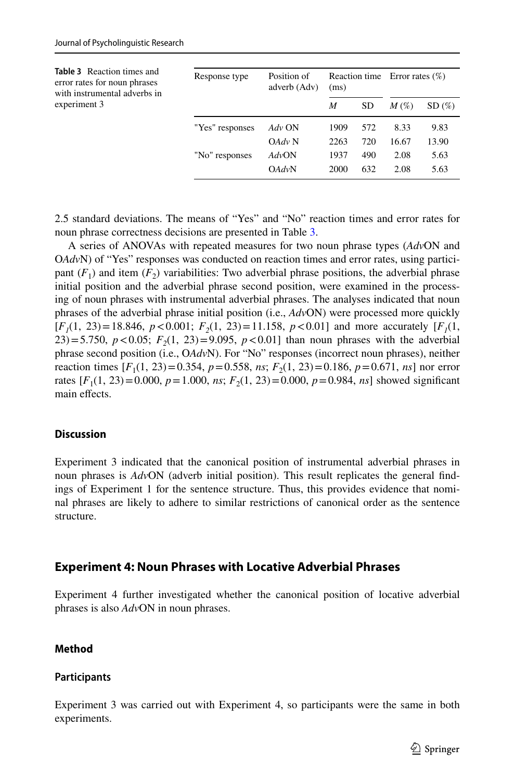<span id="page-12-0"></span>

| <b>Table 3</b> Reaction times and<br>error rates for noun phrases<br>with instrumental adverbs in | Response type   | Position of<br>adverb (Adv)<br>(ms) |      |           | Reaction time Error rates $(\%)$ |       |  |
|---------------------------------------------------------------------------------------------------|-----------------|-------------------------------------|------|-----------|----------------------------------|-------|--|
| experiment 3                                                                                      |                 |                                     | M    | <b>SD</b> | $M\left(\%\right)$               | SD(%) |  |
|                                                                                                   | "Yes" responses | Adv ON                              | 1909 | 572       | 8.33                             | 9.83  |  |
|                                                                                                   |                 | OAdv N                              | 2263 | 720       | 16.67                            | 13.90 |  |
|                                                                                                   | "No" responses  | AdvON                               | 1937 | 490       | 2.08                             | 5.63  |  |
|                                                                                                   |                 | OAdvN                               | 2000 | 632       | 2.08                             | 5.63  |  |

2.5 standard deviations. The means of "Yes" and "No" reaction times and error rates for noun phrase correctness decisions are presented in Table [3](#page-12-0).

A series of ANOVAs with repeated measures for two noun phrase types (*Adv*ON and O*Adv*N) of "Yes" responses was conducted on reaction times and error rates, using participant  $(F_1)$  and item  $(F_2)$  variabilities: Two adverbial phrase positions, the adverbial phrase initial position and the adverbial phrase second position, were examined in the processing of noun phrases with instrumental adverbial phrases. The analyses indicated that noun phrases of the adverbial phrase initial position (i.e., *Adv*ON) were processed more quickly  $[F_1(1, 23) = 18.846, p < 0.001; F_2(1, 23) = 11.158, p < 0.01$  and more accurately  $[F_1(1, 23) = 11.158, p < 0.01]$ 23)=5.750,  $p < 0.05$ ;  $F_2(1, 23) = 9.095$ ,  $p < 0.01$ ] than noun phrases with the adverbial phrase second position (i.e., O*Adv*N). For "No" responses (incorrect noun phrases), neither reaction times  $[F_1(1, 23) = 0.354, p = 0.558, ns; F_2(1, 23) = 0.186, p = 0.671, ns]$  nor error rates  $[F_1(1, 23) = 0.000, p = 1.000, ns; F_2(1, 23) = 0.000, p = 0.984, ns]$  showed significant main effects.

#### **Discussion**

Experiment 3 indicated that the canonical position of instrumental adverbial phrases in noun phrases is *Adv*ON (adverb initial position). This result replicates the general fndings of Experiment 1 for the sentence structure. Thus, this provides evidence that nominal phrases are likely to adhere to similar restrictions of canonical order as the sentence structure.

### **Experiment 4: Noun Phrases with Locative Adverbial Phrases**

Experiment 4 further investigated whether the canonical position of locative adverbial phrases is also *Adv*ON in noun phrases.

### **Method**

### **Participants**

Experiment 3 was carried out with Experiment 4, so participants were the same in both experiments.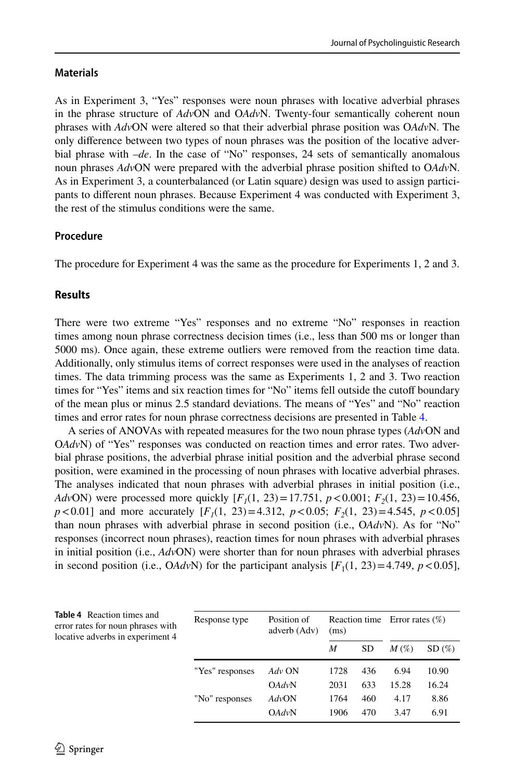#### **Materials**

As in Experiment 3, "Yes" responses were noun phrases with locative adverbial phrases in the phrase structure of *Adv*ON and O*Adv*N. Twenty-four semantically coherent noun phrases with *Adv*ON were altered so that their adverbial phrase position was O*Adv*N. The only diference between two types of noun phrases was the position of the locative adverbial phrase with –*de*. In the case of "No" responses, 24 sets of semantically anomalous noun phrases *Adv*ON were prepared with the adverbial phrase position shifted to O*Adv*N. As in Experiment 3, a counterbalanced (or Latin square) design was used to assign participants to diferent noun phrases. Because Experiment 4 was conducted with Experiment 3, the rest of the stimulus conditions were the same.

### **Procedure**

The procedure for Experiment 4 was the same as the procedure for Experiments 1, 2 and 3.

#### **Results**

There were two extreme "Yes" responses and no extreme "No" responses in reaction times among noun phrase correctness decision times (i.e., less than 500 ms or longer than 5000 ms). Once again, these extreme outliers were removed from the reaction time data. Additionally, only stimulus items of correct responses were used in the analyses of reaction times. The data trimming process was the same as Experiments 1, 2 and 3. Two reaction times for "Yes" items and six reaction times for "No" items fell outside the cutof boundary of the mean plus or minus 2.5 standard deviations. The means of "Yes" and "No" reaction times and error rates for noun phrase correctness decisions are presented in Table [4.](#page-13-0)

A series of ANOVAs with repeated measures for the two noun phrase types (*Adv*ON and O*Adv*N) of "Yes" responses was conducted on reaction times and error rates. Two adverbial phrase positions, the adverbial phrase initial position and the adverbial phrase second position, were examined in the processing of noun phrases with locative adverbial phrases. The analyses indicated that noun phrases with adverbial phrases in initial position (i.e., *AdvON*) were processed more quickly  $[F_1(1, 23) = 17.751, p < 0.001; F_2(1, 23) = 10.456$ , *p*<0.01] and more accurately  $[F_1(1, 23) = 4.312, p < 0.05; F_2(1, 23) = 4.545, p < 0.05$ than noun phrases with adverbial phrase in second position (i.e., O*Adv*N). As for "No" responses (incorrect noun phrases), reaction times for noun phrases with adverbial phrases in initial position (i.e., *Adv*ON) were shorter than for noun phrases with adverbial phrases in second position (i.e.,  $O\frac{Adv}{N}$ ) for the participant analysis  $[F_1(1, 23) = 4.749, p < 0.05]$ ,

<span id="page-13-0"></span>

| <b>Table 4</b> Reaction times and<br>error rates for noun phrases with<br>locative adverbs in experiment 4 | Response type   | Position of<br>adverb (Adv) | (ms) |           | Reaction time Error rates $(\%)$ |       |
|------------------------------------------------------------------------------------------------------------|-----------------|-----------------------------|------|-----------|----------------------------------|-------|
|                                                                                                            |                 |                             | M    | <b>SD</b> | $M\left(\%\right)$               | SD(%) |
|                                                                                                            | "Yes" responses | Adv ON                      | 1728 | 436       | 6.94                             | 10.90 |
|                                                                                                            |                 | OAdvN                       | 2031 | 633       | 15.28                            | 16.24 |
|                                                                                                            | "No" responses  | AdvON                       | 1764 | 460       | 4.17                             | 8.86  |
|                                                                                                            |                 | OAdvN                       | 1906 | 470       | 3.47                             | 6.91  |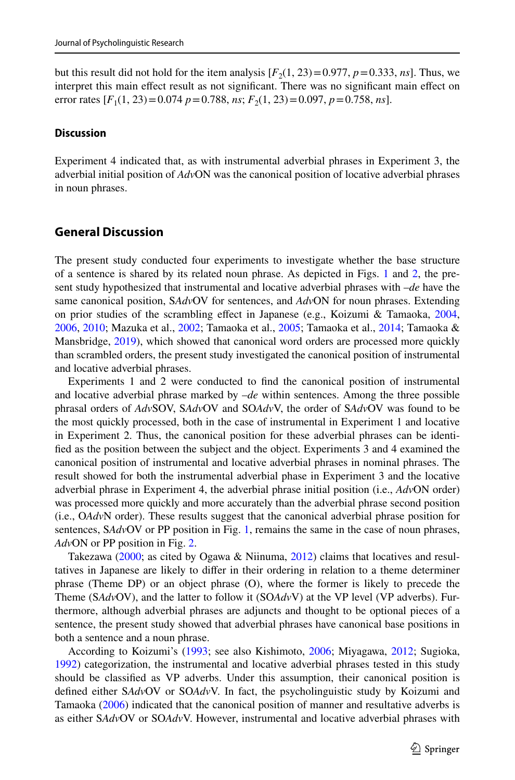but this result did not hold for the item analysis  $[F_2(1, 23) = 0.977, p = 0.333, ns]$ . Thus, we interpret this main efect result as not signifcant. There was no signifcant main efect on error rates  $[F_1(1, 23) = 0.074 \, p = 0.788, \text{ns}; F_2(1, 23) = 0.097, \text{p} = 0.758, \text{ns}].$ 

#### **Discussion**

Experiment 4 indicated that, as with instrumental adverbial phrases in Experiment 3, the adverbial initial position of *Adv*ON was the canonical position of locative adverbial phrases in noun phrases.

### **General Discussion**

The present study conducted four experiments to investigate whether the base structure of a sentence is shared by its related noun phrase. As depicted in Figs. [1](#page-4-0) and [2,](#page-5-0) the present study hypothesized that instrumental and locative adverbial phrases with –*de* have the same canonical position, S*Adv*OV for sentences, and *Adv*ON for noun phrases. Extending on prior studies of the scrambling efect in Japanese (e.g., Koizumi & Tamaoka, [2004](#page-17-2), [2006,](#page-18-2) [2010;](#page-18-3) Mazuka et al., [2002](#page-18-4); Tamaoka et al., [2005;](#page-18-6) Tamaoka et al., [2014](#page-18-1); Tamaoka & Mansbridge, [2019](#page-18-0)), which showed that canonical word orders are processed more quickly than scrambled orders, the present study investigated the canonical position of instrumental and locative adverbial phrases.

Experiments 1 and 2 were conducted to fnd the canonical position of instrumental and locative adverbial phrase marked by –*de* within sentences. Among the three possible phrasal orders of *Adv*SOV, S*Adv*OV and SO*Adv*V, the order of S*Adv*OV was found to be the most quickly processed, both in the case of instrumental in Experiment 1 and locative in Experiment 2. Thus, the canonical position for these adverbial phrases can be identifed as the position between the subject and the object. Experiments 3 and 4 examined the canonical position of instrumental and locative adverbial phrases in nominal phrases. The result showed for both the instrumental adverbial phase in Experiment 3 and the locative adverbial phrase in Experiment 4, the adverbial phrase initial position (i.e., *Adv*ON order) was processed more quickly and more accurately than the adverbial phrase second position (i.e., O*Adv*N order). These results suggest that the canonical adverbial phrase position for sentences, SAdvOV or PP position in Fig. [1,](#page-4-0) remains the same in the case of noun phrases, *Adv*ON or PP position in Fig. [2.](#page-5-0)

Takezawa ([2000;](#page-18-14) as cited by Ogawa & Niinuma, [2012](#page-18-15)) claims that locatives and resultatives in Japanese are likely to difer in their ordering in relation to a theme determiner phrase (Theme DP) or an object phrase (O), where the former is likely to precede the Theme (S*Adv*OV), and the latter to follow it (SO*Adv*V) at the VP level (VP adverbs). Furthermore, although adverbial phrases are adjuncts and thought to be optional pieces of a sentence, the present study showed that adverbial phrases have canonical base positions in both a sentence and a noun phrase.

According to Koizumi's [\(1993](#page-17-9); see also Kishimoto, [2006;](#page-17-10) Miyagawa, [2012;](#page-18-16) Sugioka, [1992\)](#page-18-17) categorization, the instrumental and locative adverbial phrases tested in this study should be classifed as VP adverbs. Under this assumption, their canonical position is defned either S*Adv*OV or SO*Adv*V. In fact, the psycholinguistic study by Koizumi and Tamaoka ([2006\)](#page-18-2) indicated that the canonical position of manner and resultative adverbs is as either S*Adv*OV or SO*Adv*V. However, instrumental and locative adverbial phrases with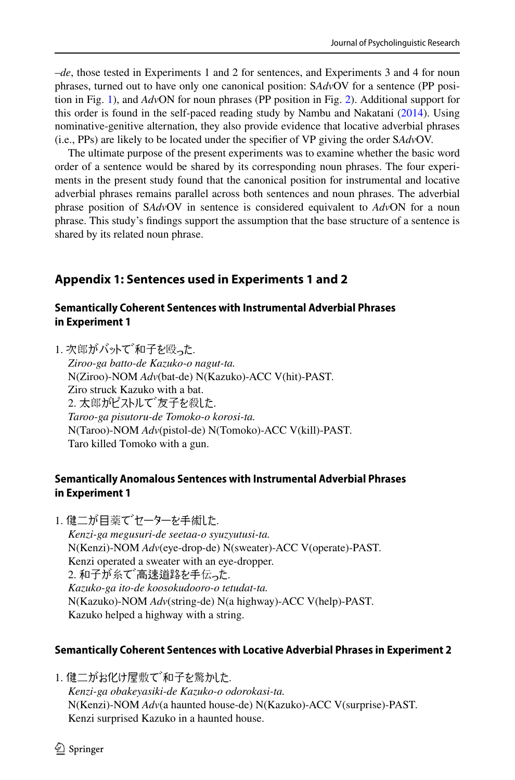–*de*, those tested in Experiments 1 and 2 for sentences, and Experiments 3 and 4 for noun phrases, turned out to have only one canonical position: S*Adv*OV for a sentence (PP position in Fig. [1](#page-4-0)), and *Adv*ON for noun phrases (PP position in Fig. [2](#page-5-0)). Additional support for this order is found in the self-paced reading study by Nambu and Nakatani [\(2014](#page-18-18)). Using nominative-genitive alternation, they also provide evidence that locative adverbial phrases (i.e., PPs) are likely to be located under the specifer of VP giving the order S*Adv*OV.

The ultimate purpose of the present experiments was to examine whether the basic word order of a sentence would be shared by its corresponding noun phrases. The four experiments in the present study found that the canonical position for instrumental and locative adverbial phrases remains parallel across both sentences and noun phrases. The adverbial phrase position of S*Adv*OV in sentence is considered equivalent to *Adv*ON for a noun phrase. This study's fndings support the assumption that the base structure of a sentence is shared by its related noun phrase.

## **Appendix 1: Sentences used in Experiments 1 and 2**

### **Semantically Coherent Sentences with Instrumental Adverbial Phrases in Experiment 1**

1. 次郎がバットで、和子を殴った.

*Ziroo-ga batto-de Kazuko-o nagut-ta.* N(Ziroo)-NOM *Adv*(bat-de) N(Kazuko)-ACC V(hit)-PAST. Ziro struck Kazuko with a bat. 2. 太郎がピストルで゛友子を殺した. *Taroo-ga pisutoru-de Tomoko-o korosi-ta.* N(Taroo)-NOM *Adv*(pistol-de) N(Tomoko)-ACC V(kill)-PAST. Taro killed Tomoko with a gun.

### **Semantically Anomalous Sentences with Instrumental Adverbial Phrases in Experiment 1**

1. 健二が目薬でセーターを手術した.

*Kenzi-ga megusuri-de seetaa-o syuzyutusi-ta.* N(Kenzi)-NOM *Adv*(eye-drop-de) N(sweater)-ACC V(operate)-PAST. Kenzi operated a sweater with an eye-dropper. 2. 和子が糸で高速道路を手伝った. *Kazuko-ga ito-de koosokudooro-o tetudat-ta.* N(Kazuko)-NOM *Adv*(string-de) N(a highway)-ACC V(help)-PAST. Kazuko helped a highway with a string.

### **Semantically Coherent Sentences with Locative Adverbial Phrases in Experiment 2**

1. 健二がお化け屋敷で和子を驚かした. *Kenzi-ga obakeyasiki-de Kazuko-o odorokasi-ta.* N(Kenzi)-NOM *Adv*(a haunted house-de) N(Kazuko)-ACC V(surprise)-PAST. Kenzi surprised Kazuko in a haunted house.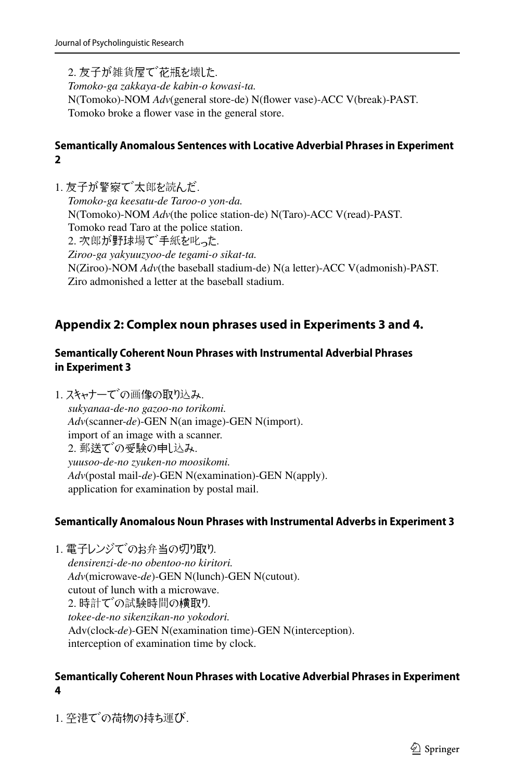2. 友子が雑貨屋で 花瓶を壊した. *Tomoko-ga zakkaya-de kabin-o kowasi-ta.* N(Tomoko)-NOM *Adv*(general store-de) N(flower vase)-ACC V(break)-PAST. Tomoko broke a flower vase in the general store.

### **Semantically Anomalous Sentences with Locative Adverbial Phrases in Experiment 2**

1. 友子が警察で大郎を読んだ. *Tomoko-ga keesatu-de Taroo-o yon-da.* N(Tomoko)-NOM *Adv*(the police station-de) N(Taro)-ACC V(read)-PAST. Tomoko read Taro at the police station. 2. 次郎が野球場で手紙を叱った. *Ziroo-ga yakyuuzyoo-de tegami-o sikat-ta.* N(Ziroo)-NOM *Adv*(the baseball stadium-de) N(a letter)-ACC V(admonish)-PAST. Ziro admonished a letter at the baseball stadium.

## **Appendix 2: Complex noun phrases used in Experiments 3 and 4.**

### **Semantically Coherent Noun Phrases with Instrumental Adverbial Phrases in Experiment 3**

1. スキャナーでの画像の取り込み. *sukyanaa-de-no gazoo-no torikomi. Adv*(scanner-*de*)-GEN N(an image)-GEN N(import). import of an image with a scanner. 2. 郵送での受験の申し込み. *yuusoo-de-no zyuken-no moosikomi. Adv*(postal mail-*de*)-GEN N(examination)-GEN N(apply). application for examination by postal mail.

### **Semantically Anomalous Noun Phrases with Instrumental Adverbs in Experiment 3**

1. 電子レンジでのお弁当の切り取り. *densirenzi-de-no obentoo-no kiritori. Adv*(microwave-*de*)-GEN N(lunch)-GEN N(cutout). cutout of lunch with a microwave. 2. 時計での試験時間の横取り. *tokee-de-no sikenzikan-no yokodori.* Adv(clock-*de*)-GEN N(examination time)-GEN N(interception). interception of examination time by clock.

### **Semantically Coherent Noun Phrases with Locative Adverbial Phrases in Experiment 4**

1. 空港での荷物の持ち運び.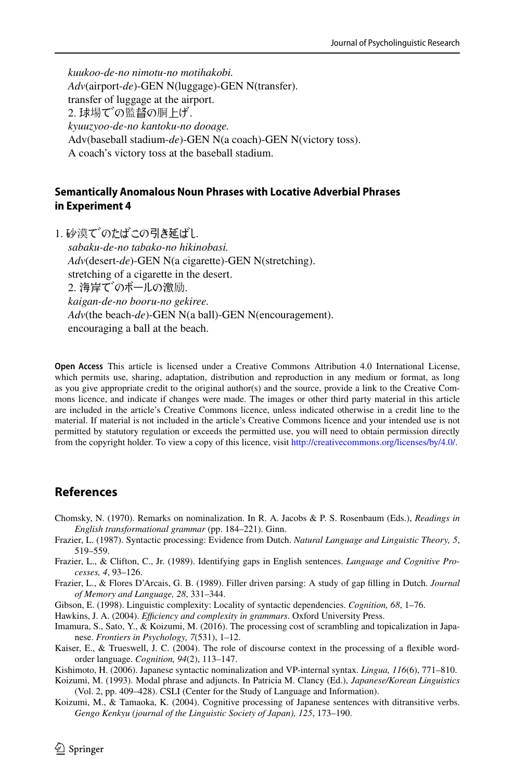*kuukoo-de-no nimotu-no motihakobi. Adv*(airport-*de*)-GEN N(luggage)-GEN N(transfer). transfer of luggage at the airport. 2. 球場での監督の胴上げ. *kyuuzyoo-de-no kantoku-no dooage.* Adv(baseball stadium-*de*)-GEN N(a coach)-GEN N(victory toss). A coach's victory toss at the baseball stadium.

### **Semantically Anomalous Noun Phrases with Locative Adverbial Phrases in Experiment 4**

1. 砂漠でのたばこの引き延ばし.

*sabaku-de-no tabako-no hikinobasi. Adv*(desert-*de*)-GEN N(a cigarette)-GEN N(stretching). stretching of a cigarette in the desert. 2. 海岸でのボールの激励. *kaigan-de-no booru-no gekiree. Adv*(the beach-*de*)-GEN N(a ball)-GEN N(encouragement). encouraging a ball at the beach.

**Open Access** This article is licensed under a Creative Commons Attribution 4.0 International License, which permits use, sharing, adaptation, distribution and reproduction in any medium or format, as long as you give appropriate credit to the original author(s) and the source, provide a link to the Creative Commons licence, and indicate if changes were made. The images or other third party material in this article are included in the article's Creative Commons licence, unless indicated otherwise in a credit line to the material. If material is not included in the article's Creative Commons licence and your intended use is not permitted by statutory regulation or exceeds the permitted use, you will need to obtain permission directly from the copyright holder. To view a copy of this licence, visit [http://creativecommons.org/licenses/by/4.0/.](http://creativecommons.org/licenses/by/4.0/)

### **References**

- <span id="page-17-0"></span>Chomsky, N. (1970). Remarks on nominalization. In R. A. Jacobs & P. S. Rosenbaum (Eds.), *Readings in English transformational grammar* (pp. 184–221). Ginn.
- <span id="page-17-5"></span>Frazier, L. (1987). Syntactic processing: Evidence from Dutch. *Natural Language and Linguistic Theory, 5*, 519–559.
- <span id="page-17-3"></span>Frazier, L., & Clifton, C., Jr. (1989). Identifying gaps in English sentences. *Language and Cognitive Processes, 4*, 93–126.
- <span id="page-17-4"></span>Frazier, L., & Flores D'Arcais, G. B. (1989). Filler driven parsing: A study of gap flling in Dutch. *Journal of Memory and Language, 28*, 331–344.
- <span id="page-17-6"></span>Gibson, E. (1998). Linguistic complexity: Locality of syntactic dependencies. *Cognition, 68*, 1–76.
- <span id="page-17-7"></span>Hawkins, J. A. (2004). *Efciency and complexity in grammars*. Oxford University Press.
- <span id="page-17-1"></span>Imamura, S., Sato, Y., & Koizumi, M. (2016). The processing cost of scrambling and topicalization in Japanese. *Frontiers in Psychology, 7*(531), 1–12.
- <span id="page-17-8"></span>Kaiser, E., & Trueswell, J. C. (2004). The role of discourse context in the processing of a fexible wordorder language. *Cognition, 94*(2), 113–147.
- <span id="page-17-10"></span>Kishimoto, H. (2006). Japanese syntactic nominalization and VP-internal syntax. *Lingua, 116*(6), 771–810.
- <span id="page-17-9"></span>Koizumi, M. (1993). Modal phrase and adjuncts. In Patricia M. Clancy (Ed.), *Japanese/Korean Linguistics* (Vol. 2, pp. 409–428). CSLI (Center for the Study of Language and Information).
- <span id="page-17-2"></span>Koizumi, M., & Tamaoka, K. (2004). Cognitive processing of Japanese sentences with ditransitive verbs. *Gengo Kenkyu (journal of the Linguistic Society of Japan), 125*, 173–190.